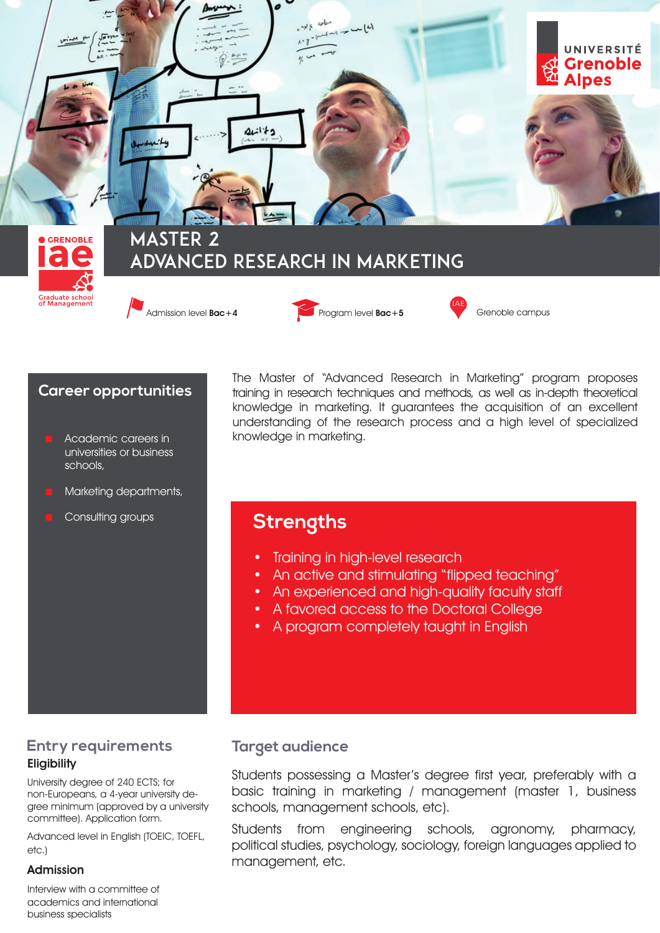

**Career opportunities**

- Academic careers in universities or business schools,
- Marketing departments,

Consulting groups

The Master of "Advanced Research in Marketing" program proposes training in research techniques and methods, as well as in-depth theoretical knowledge in marketing. It guarantees the acquisition of an excellent understanding of the research process and a high level of specialized knowledge in marketing.

## **Strengths**

- Training in high-level research
- An active and stimulating "flipped teaching"
- An experienced and high-quality faculty staff
- A favored access to the Doctoral College
- A program completely taught in English

## **Entry requirements Eligibility**

University degree of 240 ECTS; for non-Europeans, a 4-year university degree minimum (approved by a university committee). Application form.

Advanced level in Enalish (TOEIC, TOEFL, etc.)

### Admission

Interview with a committee of academics and international business specialists

## **Target audience**

Students possessing a Master's degree first year, preferably with a basic training in marketing / management (master 1, business schools, management schools, etc).

Students from engineering schools, agronomy, pharmacy, political studies, psychology, sociology, foreign languages applied to management, etc.